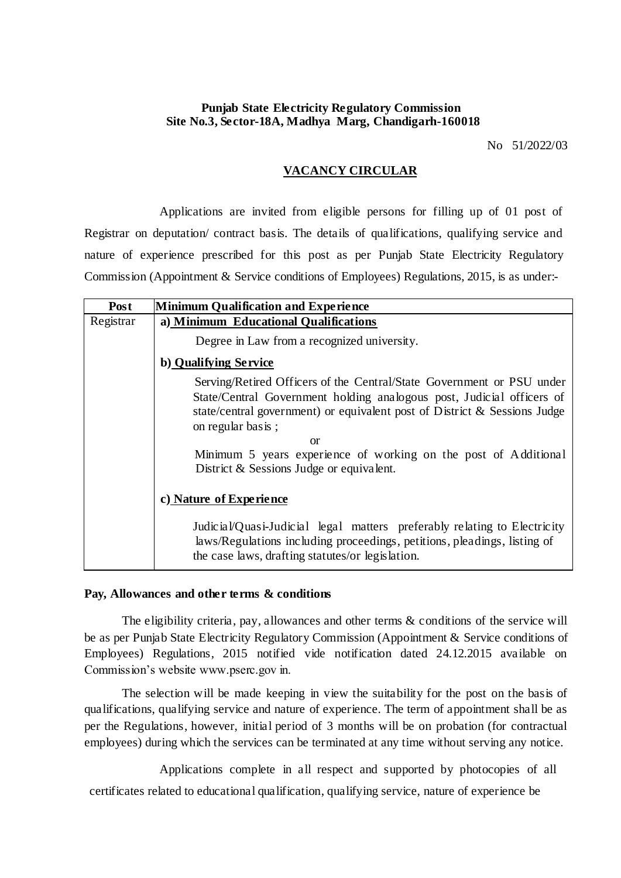## **Punjab State Electricity Regulatory Commission Site No.3, Sector-18A, Madhya Marg, Chandigarh-160018**

No 51/2022/03

## **VACANCY CIRCULAR**

Applications are invited from eligible persons for filling up of 01 post of Registrar on deputation/ contract basis. The details of qualifications, qualifying service and nature of experience prescribed for this post as per Punjab State Electricity Regulatory Commission (Appointment & Service conditions of Employees) Regulations, 2015, is as under:-

| Post                    | <b>Minimum Qualification and Experience</b>                                                                                                                                                                                                                                                                                                                           |  |  |  |  |  |  |  |
|-------------------------|-----------------------------------------------------------------------------------------------------------------------------------------------------------------------------------------------------------------------------------------------------------------------------------------------------------------------------------------------------------------------|--|--|--|--|--|--|--|
| Registrar               | a) Minimum Educational Qualifications                                                                                                                                                                                                                                                                                                                                 |  |  |  |  |  |  |  |
|                         | Degree in Law from a recognized university.                                                                                                                                                                                                                                                                                                                           |  |  |  |  |  |  |  |
|                         | b) Qualifying Service                                                                                                                                                                                                                                                                                                                                                 |  |  |  |  |  |  |  |
|                         | Serving/Retired Officers of the Central/State Government or PSU under<br>State/Central Government holding analogous post, Judicial officers of<br>state/central government) or equivalent post of District & Sessions Judge<br>on regular basis;<br>or<br>Minimum 5 years experience of working on the post of Additional<br>District & Sessions Judge or equivalent. |  |  |  |  |  |  |  |
| c) Nature of Experience |                                                                                                                                                                                                                                                                                                                                                                       |  |  |  |  |  |  |  |
|                         | Judicial/Quasi-Judicial legal matters preferably relating to Electricity<br>laws/Regulations including proceedings, petitions, pleadings, listing of<br>the case laws, drafting statutes/or legislation.                                                                                                                                                              |  |  |  |  |  |  |  |

## **Pay, Allowances and other terms & conditions**

The eligibility criteria, pay, allowances and other terms & conditions of the service will be as per Punjab State Electricity Regulatory Commission (Appointment & Service conditions of Employees) Regulations, 2015 notified vide notification dated 24.12.2015 available on Commission's website www.pserc.gov in.

The selection will be made keeping in view the suitability for the post on the basis of qualifications, qualifying service and nature of experience. The term of appointment shall be as per the Regulations, however, initial period of 3 months will be on probation (for contractual employees) during which the services can be terminated at any time without serving any notice.

Applications complete in all respect and supported by photocopies of all certificates related to educational qualification, qualifying service, nature of experience be